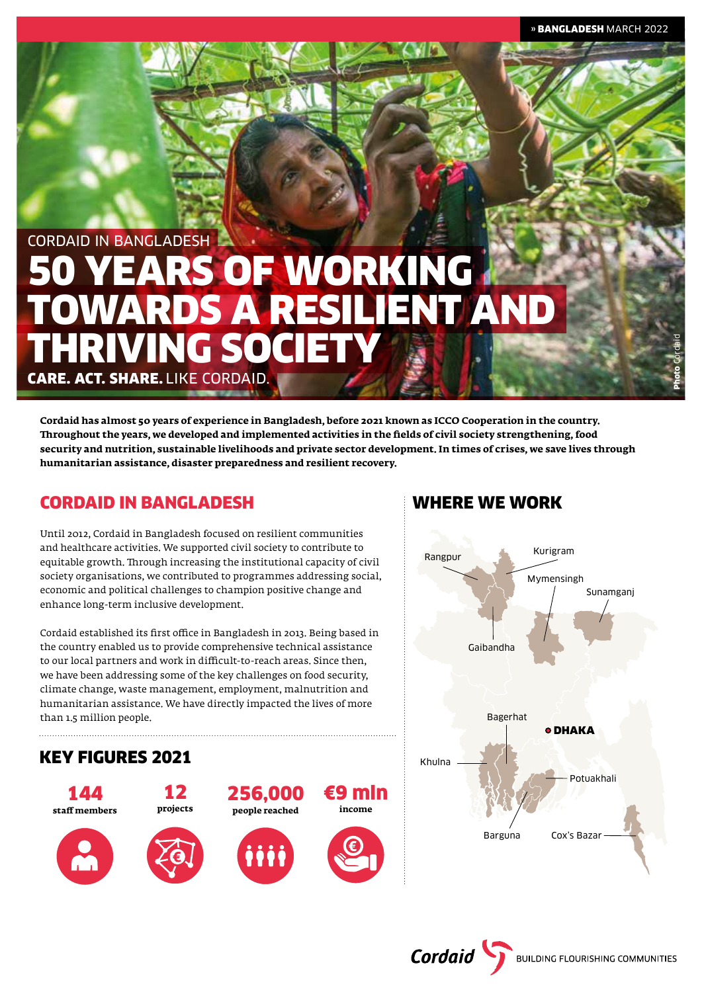Photo Cordaid

# CORDAID IN BANGLADESH 50 YEARS OF WORKING TOWARDS A RESILIENT AND THRIVING SOC

CARE. ACT. SHARE. LIKE CORDAID.

**Cordaid has almost 50 years of experience in Bangladesh, before 2021 known as ICCO Cooperation in the country. Throughout the years, we developed and implemented activities in the fields of civil society strengthening, food security and nutrition, sustainable livelihoods and private sector development. In times of crises, we save lives through humanitarian assistance, disaster preparedness and resilient recovery.**

# CORDAID IN BANGLADESH

Until 2012, Cordaid in Bangladesh focused on resilient communities and healthcare activities. We supported civil society to contribute to equitable growth. Through increasing the institutional capacity of civil society organisations, we contributed to programmes addressing social, economic and political challenges to champion positive change and enhance long-term inclusive development.

Cordaid established its first office in Bangladesh in 2013. Being based in the country enabled us to provide comprehensive technical assistance to our local partners and work in difficult-to-reach areas. Since then, we have been addressing some of the key challenges on food security, climate change, waste management, employment, malnutrition and humanitarian assistance. We have directly impacted the lives of more than 1.5 million people.

## KEY FIGURES 2021 144 **staff members**  12 **projects**  €9 mln **income** 256,000 **people reached**

# WHERE WE WORK



**Cordaid** BUILDING FLOURISHING COMMUNITIES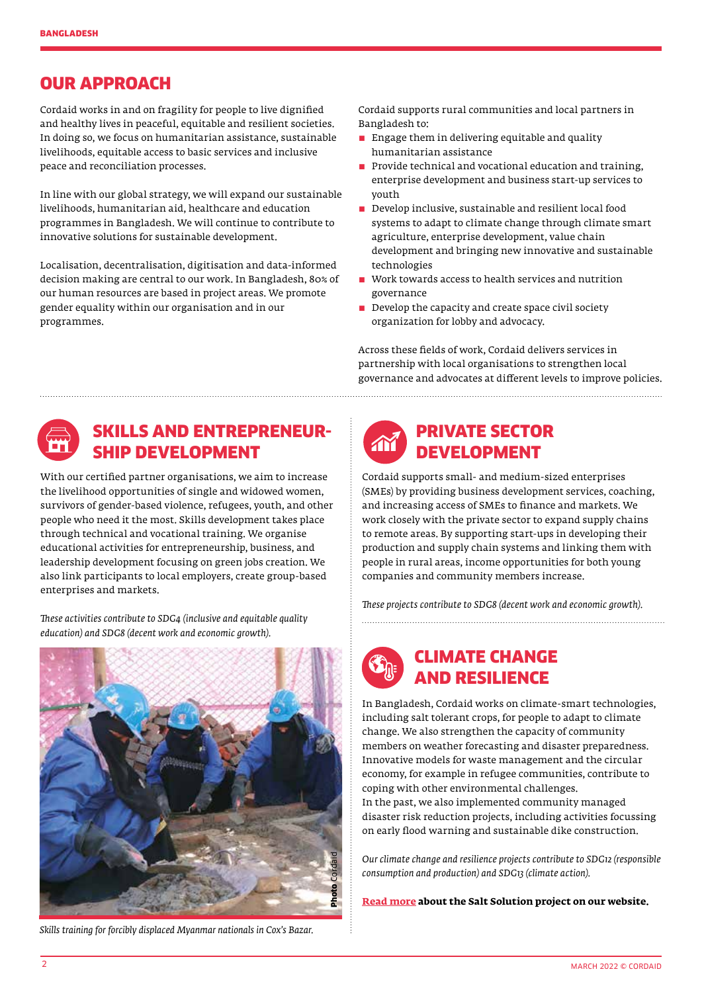### OUR APPROACH

Cordaid works in and on fragility for people to live dignified and healthy lives in peaceful, equitable and resilient societies. In doing so, we focus on humanitarian assistance, sustainable livelihoods, equitable access to basic services and inclusive peace and reconciliation processes.

In line with our global strategy, we will expand our sustainable livelihoods, humanitarian aid, healthcare and education programmes in Bangladesh. We will continue to contribute to innovative solutions for sustainable development.

Localisation, decentralisation, digitisation and data-informed decision making are central to our work. In Bangladesh, 80% of our human resources are based in project areas. We promote gender equality within our organisation and in our programmes.

Cordaid supports rural communities and local partners in Bangladesh to:

- $\blacksquare$  Engage them in delivering equitable and quality humanitarian assistance
- **Provide technical and vocational education and training.** enterprise development and business start-up services to youth
- $\blacksquare$  Develop inclusive, sustainable and resilient local food systems to adapt to climate change through climate smart agriculture, enterprise development, value chain development and bringing new innovative and sustainable technologies
- Work towards access to health services and nutrition governance
- $\blacksquare$  Develop the capacity and create space civil society organization for lobby and advocacy.

Across these fields of work, Cordaid delivers services in partnership with local organisations to strengthen local governance and advocates at different levels to improve policies.



### SKILLS AND ENTREPRENEUR-SHIP DEVELOPMENT

With our certified partner organisations, we aim to increase the livelihood opportunities of single and widowed women, survivors of gender-based violence, refugees, youth, and other people who need it the most. Skills development takes place through technical and vocational training. We organise educational activities for entrepreneurship, business, and leadership development focusing on green jobs creation. We also link participants to local employers, create group-based enterprises and markets.

*These activities contribute to SDG4 (inclusive and equitable quality education) and SDG8 (decent work and economic growth).*



*Skills training for forcibly displaced Myanmar nationals in Cox's Bazar.*



### PRIVATE SECTOR DEVELOPMENT

Cordaid supports small- and medium-sized enterprises (SMEs) by providing business development services, coaching, and increasing access of SMEs to finance and markets. We work closely with the private sector to expand supply chains to remote areas. By supporting start-ups in developing their production and supply chain systems and linking them with people in rural areas, income opportunities for both young companies and community members increase.

*These projects contribute to SDG8 (decent work and economic growth).* 



In Bangladesh, Cordaid works on climate-smart technologies, including salt tolerant crops, for people to adapt to climate change. We also strengthen the capacity of community members on weather forecasting and disaster preparedness. Innovative models for waste management and the circular economy, for example in refugee communities, contribute to coping with other environmental challenges. In the past, we also implemented community managed disaster risk reduction projects, including activities focussing on early flood warning and sustainable dike construction.

*Our climate change and resilience projects contribute to SDG12 (responsible consumption and production) and SDG13 (climate action).* 

**[Read more](https://www.cordaid.org/en/news/the-salt-solution-growing-salt-tolerant-vegetables-in-bangladesh/) about the Salt Solution project on our website.**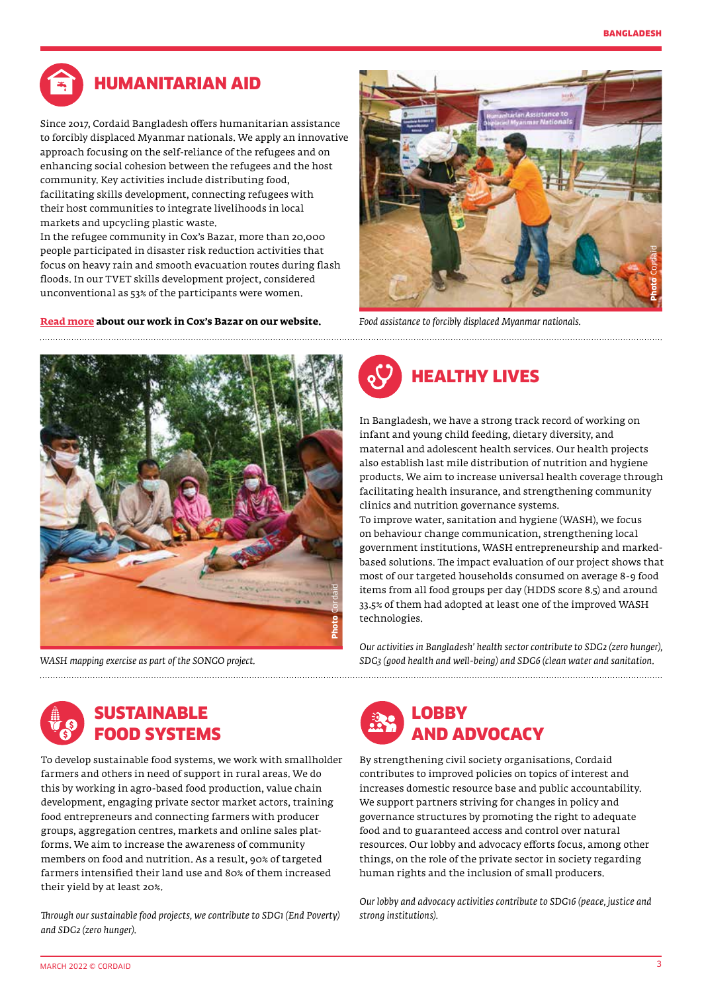

# HUMANITARIAN AID

Since 2017, Cordaid Bangladesh offers humanitarian assistance to forcibly displaced Myanmar nationals. We apply an innovative approach focusing on the self-reliance of the refugees and on enhancing social cohesion between the refugees and the host community. Key activities include distributing food, facilitating skills development, connecting refugees with their host communities to integrate livelihoods in local markets and upcycling plastic waste.

In the refugee community in Cox's Bazar, more than 20,000 people participated in disaster risk reduction activities that focus on heavy rain and smooth evacuation routes during flash floods. In our TVET skills development project, considered unconventional as 53% of the participants were women.

**[Read more](https://www.cordaid.org/en/news/reaching-out-to-rohingya-refugees-in-coxs-bazar/) about our work in Cox's Bazar on our website.**



*Food assistance to forcibly displaced Myanmar nationals.* 



*WASH mapping exercise as part of the SONGO project.*



In Bangladesh, we have a strong track record of working on infant and young child feeding, dietary diversity, and maternal and adolescent health services. Our health projects also establish last mile distribution of nutrition and hygiene products. We aim to increase universal health coverage through facilitating health insurance, and strengthening community clinics and nutrition governance systems.

To improve water, sanitation and hygiene (WASH), we focus on behaviour change communication, strengthening local government institutions, WASH entrepreneurship and markedbased solutions. The impact evaluation of our project shows that most of our targeted households consumed on average 8-9 food items from all food groups per day (HDDS score 8.5) and around 33.5% of them had adopted at least one of the improved WASH technologies.

*Our activities in Bangladesh' health sector contribute to SDG2 (zero hunger), SDG3 (good health and well-being) and SDG6 (clean water and sanitation.* 



To develop sustainable food systems, we work with smallholder farmers and others in need of support in rural areas. We do this by working in agro-based food production, value chain development, engaging private sector market actors, training food entrepreneurs and connecting farmers with producer groups, aggregation centres, markets and online sales platforms. We aim to increase the awareness of community members on food and nutrition. As a result, 90% of targeted farmers intensified their land use and 80% of them increased their yield by at least 20%.

*Through our sustainable food projects, we contribute to SDG1 (End Poverty) and SDG2 (zero hunger).*



By strengthening civil society organisations, Cordaid contributes to improved policies on topics of interest and increases domestic resource base and public accountability. We support partners striving for changes in policy and governance structures by promoting the right to adequate food and to guaranteed access and control over natural resources. Our lobby and advocacy efforts focus, among other things, on the role of the private sector in society regarding human rights and the inclusion of small producers.

*Our lobby and advocacy activities contribute to SDG16 (peace, justice and strong institutions).*